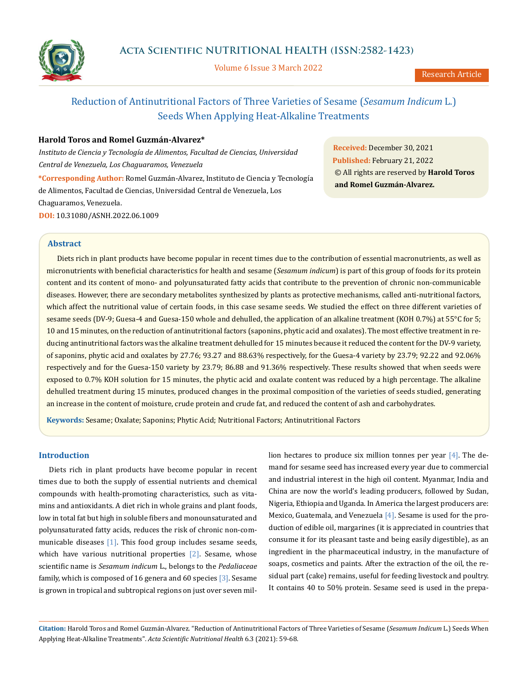

Volume 6 Issue 3 March 2022

# Reduction of Antinutritional Factors of Three Varieties of Sesame (*Sesamum Indicum* L.) Seeds When Applying Heat-Alkaline Treatments

### **Harold Toros and Romel Guzmán-Alvarez\***

*Instituto de Ciencia y Tecnología de Alimentos, Facultad de Ciencias, Universidad Central de Venezuela, Los Chaguaramos, Venezuela*

**\*Corresponding Author:** Romel Guzmán-Alvarez, Instituto de Ciencia y Tecnología de Alimentos, Facultad de Ciencias, Universidad Central de Venezuela, Los Chaguaramos, Venezuela. **DOI:** [10.31080/ASNH.2022.06.1009](https://actascientific.com/ASNH/pdf/ASNH-06-1009.pdf)

**Received:** December 30, 2021 **Published:** February 21, 2022 © All rights are reserved by **Harold Toros and Romel Guzmán-Alvarez.**

#### **Abstract**

Diets rich in plant products have become popular in recent times due to the contribution of essential macronutrients, as well as micronutrients with beneficial characteristics for health and sesame (*Sesamum indicum*) is part of this group of foods for its protein content and its content of mono- and polyunsaturated fatty acids that contribute to the prevention of chronic non-communicable diseases. However, there are secondary metabolites synthesized by plants as protective mechanisms, called anti-nutritional factors, which affect the nutritional value of certain foods, in this case sesame seeds. We studied the effect on three different varieties of sesame seeds (DV-9; Guesa-4 and Guesa-150 whole and dehulled, the application of an alkaline treatment (KOH 0.7%) at 55°C for 5; 10 and 15 minutes, on the reduction of antinutritional factors (saponins, phytic acid and oxalates). The most effective treatment in reducing antinutritional factors was the alkaline treatment dehulled for 15 minutes because it reduced the content for the DV-9 variety, of saponins, phytic acid and oxalates by 27.76; 93.27 and 88.63% respectively, for the Guesa-4 variety by 23.79; 92.22 and 92.06% respectively and for the Guesa-150 variety by 23.79; 86.88 and 91.36% respectively. These results showed that when seeds were exposed to 0.7% KOH solution for 15 minutes, the phytic acid and oxalate content was reduced by a high percentage. The alkaline dehulled treatment during 15 minutes, produced changes in the proximal composition of the varieties of seeds studied, generating an increase in the content of moisture, crude protein and crude fat, and reduced the content of ash and carbohydrates.

**Keywords:** Sesame; Oxalate; Saponins; Phytic Acid; Nutritional Factors; Antinutritional Factors

## **Introduction**

Diets rich in plant products have become popular in recent times due to both the supply of essential nutrients and chemical compounds with health-promoting characteristics, such as vitamins and antioxidants. A diet rich in whole grains and plant foods, low in total fat but high in soluble fibers and monounsaturated and polyunsaturated fatty acids, reduces the risk of chronic non-communicable diseases [1]. This food group includes sesame seeds, which have various nutritional properties [2]. Sesame, whose scientific name is *Sesamum indicum* L., belongs to the *Pedaliaceae* family, which is composed of 16 genera and 60 species [3]. Sesame is grown in tropical and subtropical regions on just over seven million hectares to produce six million tonnes per year  $[4]$ . The demand for sesame seed has increased every year due to commercial and industrial interest in the high oil content. Myanmar, India and China are now the world's leading producers, followed by Sudan, Nigeria, Ethiopia and Uganda. In America the largest producers are: Mexico, Guatemala, and Venezuela [4]. Sesame is used for the production of edible oil, margarines (it is appreciated in countries that consume it for its pleasant taste and being easily digestible), as an ingredient in the pharmaceutical industry, in the manufacture of soaps, cosmetics and paints. After the extraction of the oil, the residual part (cake) remains, useful for feeding livestock and poultry. It contains 40 to 50% protein. Sesame seed is used in the prepa-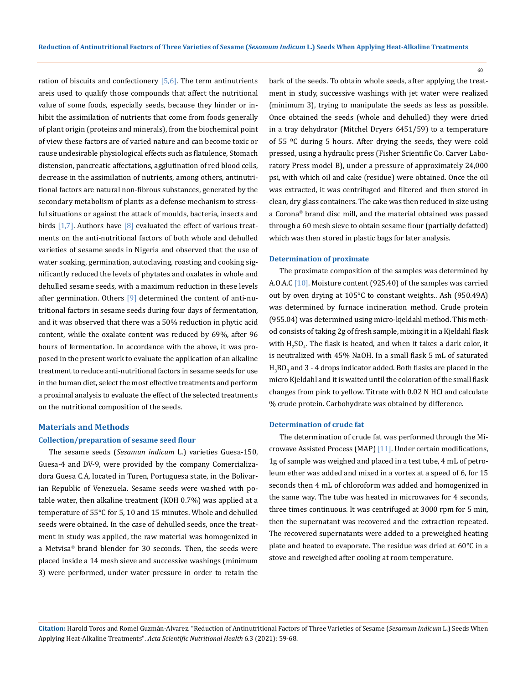ration of biscuits and confectionery  $[5,6]$ . The term antinutrients areis used to qualify those compounds that affect the nutritional value of some foods, especially seeds, because they hinder or inhibit the assimilation of nutrients that come from foods generally of plant origin (proteins and minerals), from the biochemical point of view these factors are of varied nature and can become toxic or cause undesirable physiological effects such as flatulence, Stomach distension, pancreatic affectations, agglutination of red blood cells, decrease in the assimilation of nutrients, among others, antinutritional factors are natural non-fibrous substances, generated by the secondary metabolism of plants as a defense mechanism to stressful situations or against the attack of moulds, bacteria, insects and birds  $[1,7]$ . Authors have  $[8]$  evaluated the effect of various treatments on the anti-nutritional factors of both whole and dehulled varieties of sesame seeds in Nigeria and observed that the use of water soaking, germination, autoclaving, roasting and cooking significantly reduced the levels of phytates and oxalates in whole and dehulled sesame seeds, with a maximum reduction in these levels after germination. Others [9] determined the content of anti-nutritional factors in sesame seeds during four days of fermentation, and it was observed that there was a 50% reduction in phytic acid content, while the oxalate content was reduced by 69%, after 96 hours of fermentation. In accordance with the above, it was proposed in the present work to evaluate the application of an alkaline treatment to reduce anti-nutritional factors in sesame seeds for use in the human diet, select the most effective treatments and perform a proximal analysis to evaluate the effect of the selected treatments on the nutritional composition of the seeds.

## **Materials and Methods**

#### **Collection/preparation of sesame seed flour**

The sesame seeds (*Sesamun indicum* L.) varieties Guesa-150, Guesa-4 and DV-9, were provided by the company Comercializadora Guesa C.A, located in Turen, Portuguesa state, in the Bolivarian Republic of Venezuela. Sesame seeds were washed with potable water, then alkaline treatment (KOH 0.7%) was applied at a temperature of 55°C for 5, 10 and 15 minutes. Whole and dehulled seeds were obtained. In the case of dehulled seeds, once the treatment in study was applied, the raw material was homogenized in a Metvisa® brand blender for 30 seconds. Then, the seeds were placed inside a 14 mesh sieve and successive washings (minimum 3) were performed, under water pressure in order to retain the bark of the seeds. To obtain whole seeds, after applying the treatment in study, successive washings with jet water were realized (minimum 3), trying to manipulate the seeds as less as possible. Once obtained the seeds (whole and dehulled) they were dried in a tray dehydrator (Mitchel Dryers 6451/59) to a temperature of 55 ºC during 5 hours. After drying the seeds, they were cold pressed, using a hydraulic press (Fisher Scientific Co. Carver Laboratory Press model B), under a pressure of approximately 24,000 psi, with which oil and cake (residue) were obtained. Once the oil was extracted, it was centrifuged and filtered and then stored in clean, dry glass containers. The cake was then reduced in size using a Corona® brand disc mill, and the material obtained was passed through a 60 mesh sieve to obtain sesame flour (partially defatted) which was then stored in plastic bags for later analysis.

#### **Determination of proximate**

The proximate composition of the samples was determined by A.O.A.C [10]. Moisture content (925.40) of the samples was carried out by oven drying at 105°C to constant weights.. Ash (950.49A) was determined by furnace incineration method. Crude protein (955.04) was determined using micro-kjeldahl method. This method consists of taking 2g of fresh sample, mixing it in a Kjeldahl flask with  $H_2SO_4$ . The flask is heated, and when it takes a dark color, it is neutralized with 45% NaOH. In a small flask 5 mL of saturated  $\rm H_3$ BO $_3$  and 3 - 4 drops indicator added. Both flasks are placed in the micro Kjeldahl and it is waited until the coloration of the small flask changes from pink to yellow. Titrate with 0.02 N HCl and calculate % crude protein. Carbohydrate was obtained by difference.

#### **Determination of crude fat**

The determination of crude fat was performed through the Microwave Assisted Process (MAP) [11]. Under certain modifications, 1g of sample was weighed and placed in a test tube, 4 mL of petroleum ether was added and mixed in a vortex at a speed of 6, for 15 seconds then 4 mL of chloroform was added and homogenized in the same way. The tube was heated in microwaves for 4 seconds, three times continuous. It was centrifuged at 3000 rpm for 5 min, then the supernatant was recovered and the extraction repeated. The recovered supernatants were added to a preweighed heating plate and heated to evaporate. The residue was dried at 60°C in a stove and reweighed after cooling at room temperature.

**Citation:** Harold Toros and Romel Guzmán-Alvarez*.* "Reduction of Antinutritional Factors of Three Varieties of Sesame (*Sesamum Indicum* L.) Seeds When Applying Heat-Alkaline Treatments". *Acta Scientific Nutritional Health* 6.3 (2021): 59-68.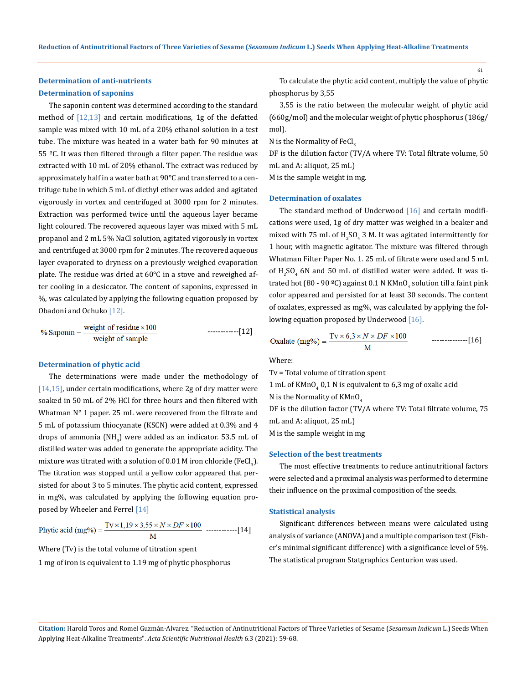## **Determination of anti-nutrients Determination of saponins**

The saponin content was determined according to the standard method of  $[12,13]$  and certain modifications, 1g of the defatted sample was mixed with 10 mL of a 20% ethanol solution in a test tube. The mixture was heated in a water bath for 90 minutes at 55  $°C$ . It was then filtered through a filter paper. The residue was extracted with 10 mL of 20% ethanol. The extract was reduced by approximately half in a water bath at 90°C and transferred to a centrifuge tube in which 5 mL of diethyl ether was added and agitated vigorously in vortex and centrifuged at 3000 rpm for 2 minutes. Extraction was performed twice until the aqueous layer became light coloured. The recovered aqueous layer was mixed with 5 mL propanol and 2 mL 5% NaCl solution, agitated vigorously in vortex and centrifuged at 3000 rpm for 2 minutes. The recovered aqueous layer evaporated to dryness on a previously weighed evaporation plate. The residue was dried at 60°C in a stove and reweighed after cooling in a desiccator. The content of saponins, expressed in %, was calculated by applying the following equation proposed by Obadoni and Ochuko [12].

$$
\% \text{Saponin} = \frac{\text{weight of residue} \times 100}{\text{weight of sample}} \qquad \qquad \text{---} \quad \text{---} \quad [12]
$$

#### **Determination of phytic acid**

The determinations were made under the methodology of [14,15], under certain modifications, where 2g of dry matter were soaked in 50 mL of 2% HCl for three hours and then filtered with Whatman N° 1 paper. 25 mL were recovered from the filtrate and 5 mL of potassium thiocyanate (KSCN) were added at 0.3% and 4 drops of ammonia  $(NH_3)$  were added as an indicator. 53.5 mL of distilled water was added to generate the appropriate acidity. The mixture was titrated with a solution of  $0.01\ \text{M}$  iron chloride (FeCl $_{3}$ ). The titration was stopped until a yellow color appeared that persisted for about 3 to 5 minutes. The phytic acid content, expressed in mg%, was calculated by applying the following equation proposed by Wheeler and Ferrel [14]

$$
Phytic acid (mg%) = \frac{Tv \times 1,19 \times 3,55 \times N \times DF \times 100}{M} \ \cdots
$$

Where (Tv) is the total volume of titration spent

1 mg of iron is equivalent to 1.19 mg of phytic phosphorus

To calculate the phytic acid content, multiply the value of phytic phosphorus by 3,55

3,55 is the ratio between the molecular weight of phytic acid (660g/mol) and the molecular weight of phytic phosphorus (186g/ mol).

N is the Normality of FeCl $_3$ 

DF is the dilution factor (TV/A where TV: Total filtrate volume, 50 mL and A: aliquot, 25 mL)

M is the sample weight in mg.

#### **Determination of oxalates**

The standard method of Underwood  $[16]$  and certain modifications were used, 1g of dry matter was weighed in a beaker and mixed with 75 mL of  $H_2SO_4$  3 M. It was agitated intermittently for 1 hour, with magnetic agitator. The mixture was filtered through Whatman Filter Paper No. 1. 25 mL of filtrate were used and 5 mL of  $H_2SO_4$  6N and 50 mL of distilled water were added. It was titrated hot (80 - 90 °C) against 0.1 N KMnO $_4$  solution till a faint pink  $\,$ color appeared and persisted for at least 30 seconds. The content of oxalates, expressed as mg%, was calculated by applying the following equation proposed by Underwood [16].

--------------[16]

Where:

Tv = Total volume of titration spent  $1 \text{ mL}$  of KMnO $_{4}$  0,1 N is equivalent to 6,3 mg of oxalic acid N is the Normality of  $KMnO<sub>4</sub>$ DF is the dilution factor (TV/A where TV: Total filtrate volume, 75 mL and A: aliquot, 25 mL) M is the sample weight in mg

#### **Selection of the best treatments**

The most effective treatments to reduce antinutritional factors were selected and a proximal analysis was performed to determine their influence on the proximal composition of the seeds.

#### **Statistical analysis**

Significant differences between means were calculated using analysis of variance (ANOVA) and a multiple comparison test (Fisher's minimal significant difference) with a significance level of 5%. The statistical program Statgraphics Centurion was used.

**Citation:** Harold Toros and Romel Guzmán-Alvarez*.* "Reduction of Antinutritional Factors of Three Varieties of Sesame (*Sesamum Indicum* L.) Seeds When Applying Heat-Alkaline Treatments". *Acta Scientific Nutritional Health* 6.3 (2021): 59-68.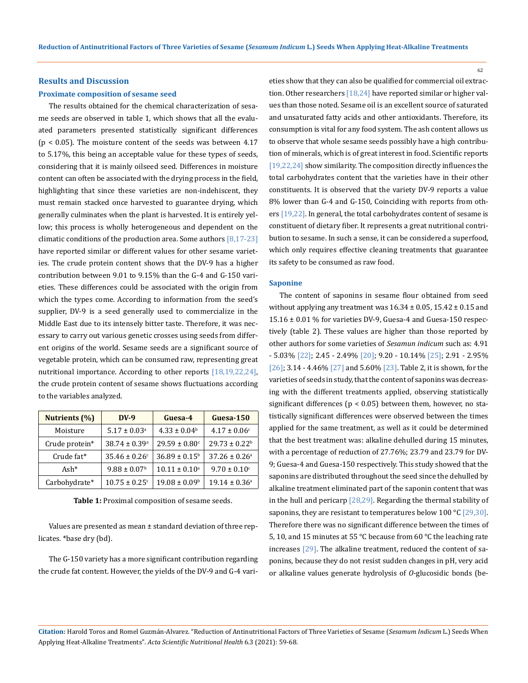#### 62

#### **Results and Discussion**

#### **Proximate composition of sesame seed**

The results obtained for the chemical characterization of sesame seeds are observed in table 1, which shows that all the evaluated parameters presented statistically significant differences  $(p < 0.05)$ . The moisture content of the seeds was between 4.17 to 5.17%, this being an acceptable value for these types of seeds, considering that it is mainly oilseed seed. Differences in moisture content can often be associated with the drying process in the field, highlighting that since these varieties are non-indehiscent, they must remain stacked once harvested to guarantee drying, which generally culminates when the plant is harvested. It is entirely yellow; this process is wholly heterogeneous and dependent on the climatic conditions of the production area. Some authors  $[8,17-23]$ have reported similar or different values for other sesame varieties. The crude protein content shows that the DV-9 has a higher contribution between 9.01 to 9.15% than the G-4 and G-150 varieties. These differences could be associated with the origin from which the types come. According to information from the seed's supplier, DV-9 is a seed generally used to commercialize in the Middle East due to its intensely bitter taste. Therefore, it was necessary to carry out various genetic crosses using seeds from different origins of the world. Sesame seeds are a significant source of vegetable protein, which can be consumed raw, representing great nutritional importance. According to other reports [18,19,22,24], the crude protein content of sesame shows fluctuations according to the variables analyzed.

| Nutrients (%)  | $DV-9$                                                         | Guesa-4                  | Guesa-150                     |  |
|----------------|----------------------------------------------------------------|--------------------------|-------------------------------|--|
| Moisture       | $5.17 \pm 0.03$ <sup>a</sup>                                   | $4.33 \pm 0.04^b$        | $4.17 \pm 0.06$ <sup>c</sup>  |  |
| Crude protein* | $38.74 \pm 0.39$ <sup>a</sup><br>$29.59 \pm 0.80$ <sup>c</sup> |                          | $29.73 \pm 0.22^b$            |  |
| Crude fat*     | $35.46 \pm 0.26$ <sup>c</sup>                                  | $36.89 \pm 0.15^{\rm b}$ | $37.26 \pm 0.26$ <sup>a</sup> |  |
| Ash $*$        | $9.88 \pm 0.07$ <sup>b</sup>                                   | $10.11 \pm 0.10^a$       | $9.70 \pm 0.10$ <sup>c</sup>  |  |
| Carbohydrate*  | $10.75 \pm 0.25$ <sup>c</sup>                                  | $19.08 \pm 0.09^{\rm b}$ | $19.14 \pm 0.36^a$            |  |

**Table 1:** Proximal composition of sesame seeds.

Values are presented as mean ± standard deviation of three replicates. \*base dry (bd).

The G-150 variety has a more significant contribution regarding the crude fat content. However, the yields of the DV-9 and G-4 varieties show that they can also be qualified for commercial oil extraction. Other researchers [18,24] have reported similar or higher values than those noted. Sesame oil is an excellent source of saturated and unsaturated fatty acids and other antioxidants. Therefore, its consumption is vital for any food system. The ash content allows us to observe that whole sesame seeds possibly have a high contribution of minerals, which is of great interest in food. Scientific reports [19,22,24] show similarity. The composition directly influences the total carbohydrates content that the varieties have in their other constituents. It is observed that the variety DV-9 reports a value 8% lower than G-4 and G-150, Coinciding with reports from others [19,22]. In general, the total carbohydrates content of sesame is constituent of dietary fiber. It represents a great nutritional contribution to sesame. In such a sense, it can be considered a superfood, which only requires effective cleaning treatments that guarantee its safety to be consumed as raw food.

#### **Saponine**

The content of saponins in sesame flour obtained from seed without applying any treatment was  $16.34 \pm 0.05$ ,  $15.42 \pm 0.15$  and 15.16 ± 0.01 % for varieties DV-9, Guesa-4 and Guesa-150 respectively (table 2). These values are higher than those reported by other authors for some varieties of *Sesamun indicum* such as: 4.91 - 5.03% [22]; 2.45 - 2.49% [20]; 9.20 - 10.14% [25]; 2.91 - 2.95% [26]; 3.14 - 4.46% [27] and 5.60% [23]. Table 2, it is shown, for the varieties of seeds in study, that the content of saponins was decreasing with the different treatments applied, observing statistically significant differences ( $p < 0.05$ ) between them, however, no statistically significant differences were observed between the times applied for the same treatment, as well as it could be determined that the best treatment was: alkaline dehulled during 15 minutes, with a percentage of reduction of 27.76%; 23.79 and 23.79 for DV-9; Guesa-4 and Guesa-150 respectively. This study showed that the saponins are distributed throughout the seed since the dehulled by alkaline treatment eliminated part of the saponin content that was in the hull and pericarp [28,29]. Regarding the thermal stability of saponins, they are resistant to temperatures below 100 °C [29,30]. Therefore there was no significant difference between the times of 5, 10, and 15 minutes at 55 °C because from 60 °C the leaching rate increases [29]. The alkaline treatment, reduced the content of saponins, because they do not resist sudden changes in pH, very acid or alkaline values generate hydrolysis of *O*-glucosidic bonds (be-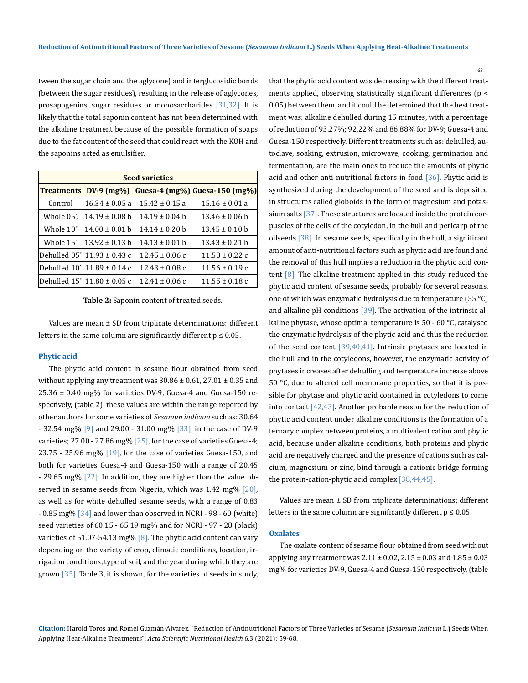tween the sugar chain and the aglycone) and interglucosidic bonds (between the sugar residues), resulting in the release of aglycones, prosapogenins, sugar residues or monosaccharides [31,32]. It is likely that the total saponin content has not been determined with the alkaline treatment because of the possible formation of soaps due to the fat content of the seed that could react with the KOH and the saponins acted as emulsifier.

| <b>Seed varieties</b> |                                   |                    |                               |  |
|-----------------------|-----------------------------------|--------------------|-------------------------------|--|
| <b>Treatments</b>     | $DV-9$ (mg%)                      |                    | Guesa-4 (mg%) Guesa-150 (mg%) |  |
| Control               | $16.34 \pm 0.05$ a                | $15.42 \pm 0.15$ a | $15.16 \pm 0.01$ a            |  |
| Whole 05'.            | $14.19 \pm 0.08$ b                | $14.19 \pm 0.04$ b | $13.46 \pm 0.06$ b            |  |
| Whole 10'             | $14.00 \pm 0.01$ b                | $14.14 \pm 0.20$ b | $13.45 \pm 0.10$ b            |  |
| Whole 15 <sup>'</sup> | $13.92 \pm 0.13$ b                | $14.13 \pm 0.01$ b | $13.43 \pm 0.21$ h            |  |
|                       | Dehulled $05'$ 11.93 $\pm$ 0.43 c | $12.45 \pm 0.06$ c | $11.58 \pm 0.22$ c            |  |
|                       | Dehulled 10'  11.89 ± 0.14 c      | $12.43 \pm 0.08$ c | $11.56 \pm 0.19$ c            |  |
|                       | Dehulled $15'$ 11.80 $\pm$ 0.05 c | $12.41 \pm 0.06$ c | $11.55 \pm 0.18$ c            |  |

**Table 2:** Saponin content of treated seeds.

Values are mean ± SD from triplicate determinations; different letters in the same column are significantly different  $p \leq 0.05$ .

#### **Phytic acid**

The phytic acid content in sesame flour obtained from seed without applying any treatment was  $30.86 \pm 0.61$ , 27.01  $\pm$  0.35 and 25.36 ± 0.40 mg% for varieties DV-9, Guesa-4 and Guesa-150 respectively, (table 2), these values are within the range reported by other authors for some varieties of *Sesamun indicum* such as: 30.64 - 32.54 mg% [9] and 29.00 - 31.00 mg% [33], in the case of DV-9 varieties; 27.00 - 27.86 mg%  $[25]$ , for the case of varieties Guesa-4; 23.75 - 25.96 mg%  $[19]$ , for the case of varieties Guesa-150, and both for varieties Guesa-4 and Guesa-150 with a range of 20.45 - 29.65 mg% [22]. In addition, they are higher than the value observed in sesame seeds from Nigeria, which was 1.42 mg% [20], as well as for white dehulled sesame seeds, with a range of 0.83 - 0.85 mg% [34] and lower than observed in NCRI - 98 - 60 (white) seed varieties of 60.15 - 65.19 mg% and for NCRI - 97 - 28 (black) varieties of 51.07-54.13 mg%  $[8]$ . The phytic acid content can vary depending on the variety of crop, climatic conditions, location, irrigation conditions, type of soil, and the year during which they are grown [35]. Table 3, it is shown, for the varieties of seeds in study, that the phytic acid content was decreasing with the different treatments applied, observing statistically significant differences (p < 0.05) between them, and it could be determined that the best treatment was: alkaline dehulled during 15 minutes, with a percentage of reduction of 93.27%; 92.22% and 86.88% for DV-9; Guesa-4 and Guesa-150 respectively. Different treatments such as: dehulled, autoclave, soaking, extrusion, microwave, cooking, germination and fermentation, are the main ones to reduce the amounts of phytic acid and other anti-nutritional factors in food [36]. Phytic acid is synthesized during the development of the seed and is deposited in structures called globoids in the form of magnesium and potassium salts [37]. These structures are located inside the protein corpuscles of the cells of the cotyledon, in the hull and pericarp of the oilseeds [38]. In sesame seeds, specifically in the hull, a significant amount of anti-nutritional factors such as phytic acid are found and the removal of this hull implies a reduction in the phytic acid content [8]. The alkaline treatment applied in this study reduced the phytic acid content of sesame seeds, probably for several reasons, one of which was enzymatic hydrolysis due to temperature (55 °C) and alkaline pH conditions [39]. The activation of the intrinsic alkaline phytase, whose optimal temperature is 50 - 60 °C, catalysed the enzymatic hydrolysis of the phytic acid and thus the reduction of the seed content [39,40,41]. Intrinsic phytases are located in the hull and in the cotyledons, however, the enzymatic activity of phytases increases after dehulling and temperature increase above 50 °C, due to altered cell membrane properties, so that it is possible for phytase and phytic acid contained in cotyledons to come into contact [42,43]. Another probable reason for the reduction of phytic acid content under alkaline conditions is the formation of a ternary complex between proteins, a multivalent cation and phytic acid, because under alkaline conditions, both proteins and phytic acid are negatively charged and the presence of cations such as calcium, magnesium or zinc, bind through a cationic bridge forming the protein-cation-phytic acid complex [38,44,45].

Values are mean ± SD from triplicate determinations; different letters in the same column are significantly different  $p \le 0.05$ 

#### **Oxalates**

The oxalate content of sesame flour obtained from seed without applying any treatment was  $2.11 \pm 0.02$ ,  $2.15 \pm 0.03$  and  $1.85 \pm 0.03$ mg% for varieties DV-9, Guesa-4 and Guesa-150 respectively, (table

**Citation:** Harold Toros and Romel Guzmán-Alvarez*.* "Reduction of Antinutritional Factors of Three Varieties of Sesame (*Sesamum Indicum* L.) Seeds When Applying Heat-Alkaline Treatments". *Acta Scientific Nutritional Health* 6.3 (2021): 59-68.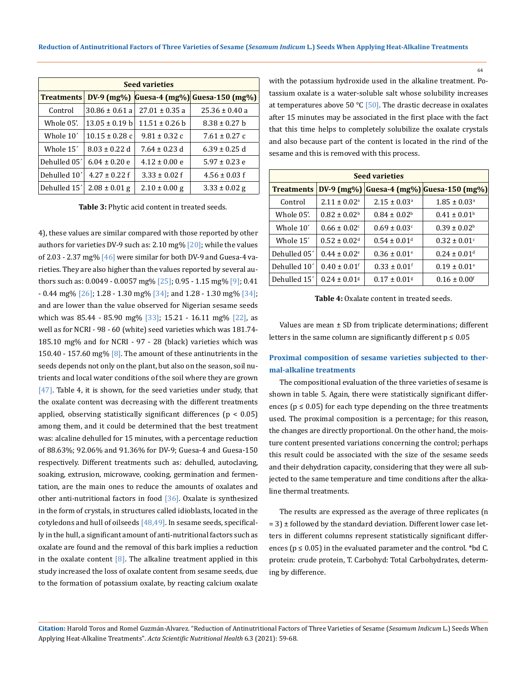| <b>Seed varieties</b> |                    |                    |                               |  |
|-----------------------|--------------------|--------------------|-------------------------------|--|
| <b>Treatments</b>     | $DV-9$ (mg%)       |                    | Guesa-4 (mg%) Guesa-150 (mg%) |  |
| Control               | $30.86 \pm 0.61$ a | $27.01 \pm 0.35$ a | $25.36 \pm 0.40$ a            |  |
| Whole 05'.            | $13.05 \pm 0.19$ b | $11.51 \pm 0.26$ b | $8.38 \pm 0.27$ b             |  |
| Whole 10'             | $10.15 \pm 0.28$ c | $9.81 \pm 0.32$ c  | $7.61 \pm 0.27$ c             |  |
| Whole 15 <sup>'</sup> | $8.03 \pm 0.22$ d  | $7.64 \pm 0.23$ d  | $6.39 \pm 0.25$ d             |  |
| Dehulled 05'          | $6.04 \pm 0.20$ e  | $4.12 \pm 0.00$ e  | $5.97 \pm 0.23$ e             |  |
| Dehulled 10'          | $4.27 \pm 0.22$ f  | $3.33 \pm 0.02$ f  | $4.56 \pm 0.03$ f             |  |
| Dehulled 15'          | $2.08 \pm 0.01$ g  | $2.10 \pm 0.00$ g  | $3.33 \pm 0.02$ g             |  |

**Table 3:** Phytic acid content in treated seeds.

4), these values are similar compared with those reported by other authors for varieties DV-9 such as: 2.10 mg%  $[20]$ ; while the values of 2.03 - 2.37 mg%  $[46]$  were similar for both DV-9 and Guesa-4 varieties. They are also higher than the values reported by several authors such as: 0.0049 - 0.0057 mg% [25]; 0.95 - 1.15 mg% [9]; 0.41  $-0.44$  mg%  $[26]$ ; 1.28  $-1.30$  mg%  $[34]$ ; and 1.28  $-1.30$  mg%  $[34]$ ; and are lower than the value observed for Nigerian sesame seeds which was 85.44 - 85.90 mg% [33]; 15.21 - 16.11 mg% [22], as well as for NCRI - 98 - 60 (white) seed varieties which was 181.74- 185.10 mg% and for NCRI - 97 - 28 (black) varieties which was 150.40 - 157.60 mg%  $[8]$ . The amount of these antinutrients in the seeds depends not only on the plant, but also on the season, soil nutrients and local water conditions of the soil where they are grown [47]. Table 4, it is shown, for the seed varieties under study, that the oxalate content was decreasing with the different treatments applied, observing statistically significant differences ( $p < 0.05$ ) among them, and it could be determined that the best treatment was: alcaline dehulled for 15 minutes, with a percentage reduction of 88.63%; 92.06% and 91.36% for DV-9; Guesa-4 and Guesa-150 respectively. Different treatments such as: dehulled, autoclaving, soaking, extrusion, microwave, cooking, germination and fermentation, are the main ones to reduce the amounts of oxalates and other anti-nutritional factors in food [36]. Oxalate is synthesized in the form of crystals, in structures called idioblasts, located in the cotyledons and hull of oilseeds  $[48,49]$ . In sesame seeds, specifically in the hull, a significant amount of anti-nutritional factors such as oxalate are found and the removal of this bark implies a reduction in the oxalate content  $[8]$ . The alkaline treatment applied in this study increased the loss of oxalate content from sesame seeds, due to the formation of potassium oxalate, by reacting calcium oxalate

with the potassium hydroxide used in the alkaline treatment. Potassium oxalate is a water-soluble salt whose solubility increases at temperatures above 50 °C [50]. The drastic decrease in oxalates after 15 minutes may be associated in the first place with the fact that this time helps to completely solubilize the oxalate crystals and also because part of the content is located in the rind of the sesame and this is removed with this process.

| <b>Seed varieties</b> |                              |                              |                               |  |
|-----------------------|------------------------------|------------------------------|-------------------------------|--|
| <b>Treatments</b>     | $DV-9$ (mg%)                 |                              | Guesa-4 (mg%) Guesa-150 (mg%) |  |
| Control               | $2.11 \pm 0.02^{\circ}$      | $2.15 \pm 0.03$ <sup>a</sup> | $1.85 \pm 0.03$ <sup>a</sup>  |  |
| Whole 05'.            | $0.82 \pm 0.02^{\rm b}$      | $0.84 \pm 0.02^b$            | $0.41 \pm 0.01^{\rm b}$       |  |
| Whole 10'             | $0.66 \pm 0.02$ <sup>c</sup> | $0.69 + 0.03c$               | $0.39 + 0.02b$                |  |
| Whole 15'             | $0.52 + 0.02d$               | $0.54 \pm 0.01$ <sup>d</sup> | $0.32 \pm 0.01$ <sup>c</sup>  |  |
| Dehulled 05'          | $0.44 \pm 0.02$ <sup>e</sup> | $0.36 \pm 0.01$ <sup>e</sup> | $0.24 + 0.01d$                |  |
| Dehulled 10'          | $0.40 \pm 0.01$ <sup>f</sup> | $0.33 \pm 0.01$ <sup>f</sup> | $0.19 \pm 0.01$ <sup>e</sup>  |  |
| Dehulled 15'          | $0.24 \pm 0.01$ <sup>g</sup> | $0.17 \pm 0.01$ <sup>g</sup> | $0.16 \pm 0.00$ <sup>f</sup>  |  |

**Table 4:** Oxalate content in treated seeds.

Values are mean ± SD from triplicate determinations; different letters in the same column are significantly different  $p \le 0.05$ 

## **Proximal composition of sesame varieties subjected to thermal-alkaline treatments**

The compositional evaluation of the three varieties of sesame is shown in table 5. Again, there were statistically significant differences ( $p \le 0.05$ ) for each type depending on the three treatments used. The proximal composition is a percentage; for this reason, the changes are directly proportional. On the other hand, the moisture content presented variations concerning the control; perhaps this result could be associated with the size of the sesame seeds and their dehydration capacity, considering that they were all subjected to the same temperature and time conditions after the alkaline thermal treatments.

The results are expressed as the average of three replicates (n  $= 3$ )  $\pm$  followed by the standard deviation. Different lower case letters in different columns represent statistically significant differences ( $p \le 0.05$ ) in the evaluated parameter and the control. \*bd C. protein: crude protein, T. Carbohyd: Total Carbohydrates, determing by difference.

**Citation:** Harold Toros and Romel Guzmán-Alvarez*.* "Reduction of Antinutritional Factors of Three Varieties of Sesame (*Sesamum Indicum* L.) Seeds When Applying Heat-Alkaline Treatments". *Acta Scientific Nutritional Health* 6.3 (2021): 59-68.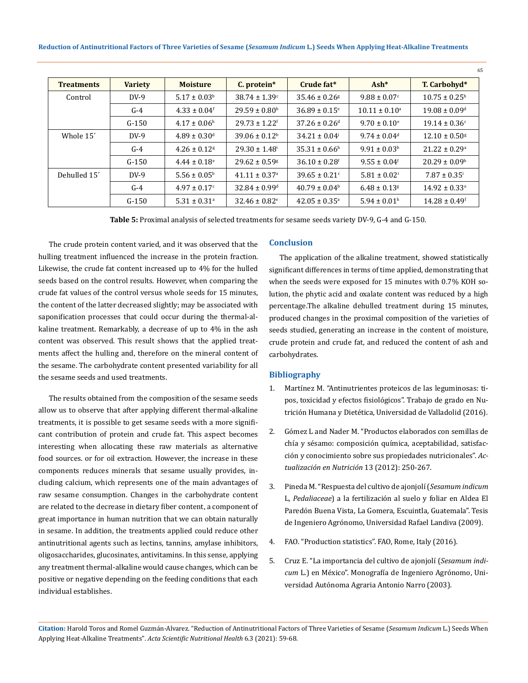**Reduction of Antinutritional Factors of Three Varieties of Sesame (***Sesamum Indicum* **L.) Seeds When Applying Heat-Alkaline Treatments**

| <b>Treatments</b>     | <b>Variety</b> | <b>Moisture</b>              | C. protein*                   | Crude fat*                    | $Ash*$                       | T. Carbohyd*                  |
|-----------------------|----------------|------------------------------|-------------------------------|-------------------------------|------------------------------|-------------------------------|
| Control               | $DV-9$         | $5.17 \pm 0.03^{\rm b}$      | $38.74 \pm 1.39$ <sup>c</sup> | $35.46 \pm 0.26$ <sup>g</sup> | $9.88 \pm 0.07$ <sup>c</sup> | $10.75 \pm 0.25^{\text{h}}$   |
|                       | $G-4$          | $4.33 \pm 0.04$ <sup>f</sup> | $29.59 \pm 0.80$ <sup>h</sup> | $36.89 \pm 0.15$ <sup>e</sup> | $10.11 \pm 0.10^a$           | $19.08 \pm 0.09$ <sup>d</sup> |
|                       | $G-150$        | $4.17 \pm 0.06^{\text{h}}$   | $29.73 \pm 1.22$ <sup>f</sup> | $37.26 \pm 0.26$ <sup>d</sup> | $9.70 \pm 0.10^{\circ}$      | $19.14 \pm 0.36$ <sup>c</sup> |
| Whole 15 <sup>'</sup> | $DY-9$         | $4.89 \pm 0.30$ <sup>d</sup> | $39.06 \pm 0.12^b$            | $34.21 \pm 0.04$ <sup>i</sup> | $9.74 \pm 0.04$ <sup>d</sup> | $12.10 \pm 0.50$ <sup>g</sup> |
|                       | $G-4$          | $4.26 \pm 0.12$ <sup>g</sup> | $29.30 \pm 1.48$ <sup>i</sup> | $35.31 \pm 0.66^{\text{h}}$   | $9.91 \pm 0.03^b$            | $21.22 \pm 0.29$ <sup>a</sup> |
|                       | $G-150$        | $4.44 \pm 0.18$ <sup>e</sup> | $29.62 \pm 0.59$ <sup>g</sup> | $36.10 \pm 0.28$ <sup>f</sup> | $9.55 \pm 0.04$ <sup>f</sup> | $20.29 \pm 0.09^{\circ}$      |
| Dehulled 15'          | $DV-9$         | $5.56 \pm 0.05^{\rm b}$      | $41.11 \pm 0.37$ <sup>a</sup> | $39.65 \pm 0.21$ <sup>c</sup> | $5.81 \pm 0.02$ <sup>i</sup> | $7.87 \pm 0.35$ <sup>i</sup>  |
|                       | $G-4$          | $4.97 \pm 0.17$ °            | $32.84 \pm 0.99$ <sup>d</sup> | $40.79 \pm 0.04^{\circ}$      | $6.48 \pm 0.13$ <sup>g</sup> | $14.92 \pm 0.33$ <sup>e</sup> |
|                       | $G-150$        | $5.31 \pm 0.31$ <sup>a</sup> | $32.46 \pm 0.82$ <sup>e</sup> | $42.05 \pm 0.35$ <sup>a</sup> | $5.94 \pm 0.01$ <sup>h</sup> | $14.28 \pm 0.49$ <sup>f</sup> |

**Table 5:** Proximal analysis of selected treatments for sesame seeds variety DV-9, G-4 and G-150.

The crude protein content varied, and it was observed that the hulling treatment influenced the increase in the protein fraction. Likewise, the crude fat content increased up to 4% for the hulled seeds based on the control results. However, when comparing the crude fat values of the control versus whole seeds for 15 minutes, the content of the latter decreased slightly; may be associated with saponification processes that could occur during the thermal-alkaline treatment. Remarkably, a decrease of up to 4% in the ash content was observed. This result shows that the applied treatments affect the hulling and, therefore on the mineral content of the sesame. The carbohydrate content presented variability for all the sesame seeds and used treatments.

The results obtained from the composition of the sesame seeds allow us to observe that after applying different thermal-alkaline treatments, it is possible to get sesame seeds with a more significant contribution of protein and crude fat. This aspect becomes interesting when allocating these raw materials as alternative food sources. or for oil extraction. However, the increase in these components reduces minerals that sesame usually provides, including calcium, which represents one of the main advantages of raw sesame consumption. Changes in the carbohydrate content are related to the decrease in dietary fiber content, a component of great importance in human nutrition that we can obtain naturally in sesame. In addition, the treatments applied could reduce other antinutritional agents such as lectins, tannins, amylase inhibitors, oligosaccharides, glucosinates, antivitamins. In this sense, applying any treatment thermal-alkaline would cause changes, which can be positive or negative depending on the feeding conditions that each individual establishes.

#### **Conclusion**

The application of the alkaline treatment, showed statistically significant differences in terms of time applied, demonstrating that when the seeds were exposed for 15 minutes with 0.7% KOH solution, the phytic acid and oxalate content was reduced by a high percentage.The alkaline dehulled treatment during 15 minutes, produced changes in the proximal composition of the varieties of seeds studied, generating an increase in the content of moisture, crude protein and crude fat, and reduced the content of ash and carbohydrates.

65

#### **Bibliography**

- 1. [Martínez M. "Antinutrientes proteicos de las leguminosas: ti](https://uvadoc.uva.es/handle/10324/18140)[pos, toxicidad y efectos fisiológicos". Trabajo de grado en Nu](https://uvadoc.uva.es/handle/10324/18140)[trición Humana y Dietética, Universidad de Valladolid \(2016\).](https://uvadoc.uva.es/handle/10324/18140)
- 2. [Gómez L and Nader M. "Productos elaborados con semillas de](http://www.revistasan.org.ar/pdf_files/trabajos/vol_13/num_4/RSAN_13_4_250.pdf)  [chía y sésamo: composición química, aceptabilidad, satisfac](http://www.revistasan.org.ar/pdf_files/trabajos/vol_13/num_4/RSAN_13_4_250.pdf)[ción y conocimiento sobre sus propiedades nutricionales".](http://www.revistasan.org.ar/pdf_files/trabajos/vol_13/num_4/RSAN_13_4_250.pdf) *Ac[tualización en Nutrición](http://www.revistasan.org.ar/pdf_files/trabajos/vol_13/num_4/RSAN_13_4_250.pdf)* 13 (2012): 250-267.
- 3. [Pineda M. "Respuesta del cultivo de ajonjolí \(](http://biblio3.url.edu.gt/Tesario/2009/06/04/Pineda-Mynor.pdf)*Sesamum indicum* L, *Pedaliaceae*[\) a la fertilización al suelo y foliar en Aldea El](http://biblio3.url.edu.gt/Tesario/2009/06/04/Pineda-Mynor.pdf)  [Paredón Buena Vista, La Gomera, Escuintla, Guatemala". Tesis](http://biblio3.url.edu.gt/Tesario/2009/06/04/Pineda-Mynor.pdf)  [de Ingeniero Agrónomo, Universidad Rafael Landiva \(2009\).](http://biblio3.url.edu.gt/Tesario/2009/06/04/Pineda-Mynor.pdf)
- 4. FAO. "Production statistics". FAO, Rome, Italy (2016).
- 5. Cruz E. "La importancia del cultivo de ajonjolí (*Sesamum indicum* L.) en México". Monografía de Ingeniero Agrónomo, Universidad Autónoma Agraria Antonio Narro (2003).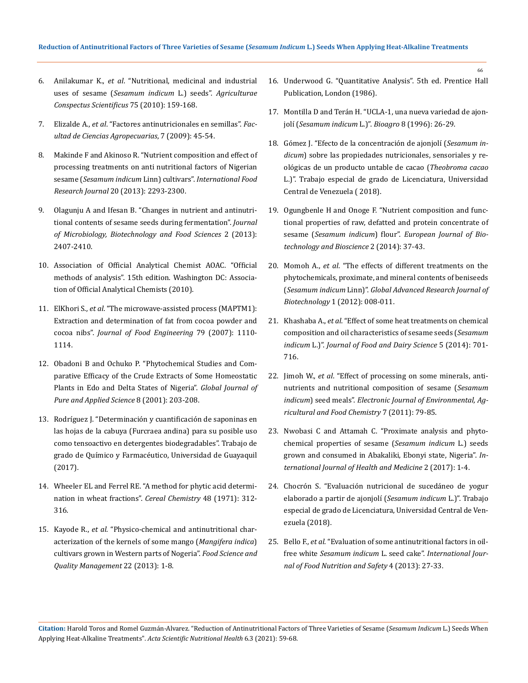- 6. Anilakumar K., *et al*[. "Nutritional, medicinal and industrial](https://www.researchgate.net/publication/50870025_Nutritional_Medicinal_and_Industrial_Uses_of_Sesame_Sesamum_indicum_L_Seeds_-_An_Overview)  uses of sesame (*[Sesamum indicum](https://www.researchgate.net/publication/50870025_Nutritional_Medicinal_and_Industrial_Uses_of_Sesame_Sesamum_indicum_L_Seeds_-_An_Overview)* L.) seeds". *Agriculturae [Conspectus Scientificus](https://www.researchgate.net/publication/50870025_Nutritional_Medicinal_and_Industrial_Uses_of_Sesame_Sesamum_indicum_L_Seeds_-_An_Overview)* 75 (2010): 159-168.
- 7. Elizalde A., *et al*[. "Factores antinutricionales en semillas".](http://www.scielo.org.co/pdf/bsaa/v7n1/v7n1a07.pdf) *Fac[ultad de Ciencias Agropecuarias](http://www.scielo.org.co/pdf/bsaa/v7n1/v7n1a07.pdf)*, 7 (2009): 45-54.
- 8. [Makinde F and Akinoso R. "Nutrient composition and effect of](http://www.ifrj.upm.edu.my/20%20(05)%202013/34%20IFRJ%2020%20(05)%202013%20Folasade%20035.pdf)  [processing treatments on anti nutritional factors of Nigerian](http://www.ifrj.upm.edu.my/20%20(05)%202013/34%20IFRJ%2020%20(05)%202013%20Folasade%20035.pdf)  sesame (*Sesamum indicum* Linn) cultivars". *[International Food](http://www.ifrj.upm.edu.my/20%20(05)%202013/34%20IFRJ%2020%20(05)%202013%20Folasade%20035.pdf)  Research Journal* [20 \(2013\): 2293-2300.](http://www.ifrj.upm.edu.my/20%20(05)%202013/34%20IFRJ%2020%20(05)%202013%20Folasade%20035.pdf)
- 9. [Olagunju A and Ifesan B. "Changes in nutrient and antinutri](https://www.jmbfs.org/wp-content/uploads/2013/06/jmbfs-0282-olagunju.pdf)[tional contents of sesame seeds during fermentation".](https://www.jmbfs.org/wp-content/uploads/2013/06/jmbfs-0282-olagunju.pdf) *Journal [of Microbiology, Biotechnology and Food Sciences](https://www.jmbfs.org/wp-content/uploads/2013/06/jmbfs-0282-olagunju.pdf)* 2 (2013): [2407-2410.](https://www.jmbfs.org/wp-content/uploads/2013/06/jmbfs-0282-olagunju.pdf)
- 10. [Association of Official Analytical Chemist AOAC. "Official](https://www.worldcat.org/title/official-methods-of-analysis-of-the-association-of-official-analytical-chemists/oclc/20709424)  [methods of analysis". 15th edition. Washington DC: Associa](https://www.worldcat.org/title/official-methods-of-analysis-of-the-association-of-official-analytical-chemists/oclc/20709424)[tion of Official Analytical Chemists \(2010\).](https://www.worldcat.org/title/official-methods-of-analysis-of-the-association-of-official-analytical-chemists/oclc/20709424)
- 11. ElKhori S., *et al*[. "The microwave-assisted process \(MAPTM1\):](https://www.sciencedirect.com/science/article/abs/pii/S0260877406002846)  [Extraction and determination of fat from cocoa powder and](https://www.sciencedirect.com/science/article/abs/pii/S0260877406002846)  cocoa nibs". *[Journal of Food Engineering](https://www.sciencedirect.com/science/article/abs/pii/S0260877406002846)* 79 (2007): 1110- [1114.](https://www.sciencedirect.com/science/article/abs/pii/S0260877406002846)
- 12. [Obadoni B and Ochuko P. "Phytochemical Studies and Com](https://www.ajol.info/index.php/gjpas/article/view/16033)[parative Efficacy of the Crude Extracts of Some Homeostatic](https://www.ajol.info/index.php/gjpas/article/view/16033)  [Plants in Edo and Delta States of Nigeria".](https://www.ajol.info/index.php/gjpas/article/view/16033) *Global Journal of [Pure and Applied Science](https://www.ajol.info/index.php/gjpas/article/view/16033)* 8 (2001): 203-208.
- 13. [Rodríguez J. "Determinación y cuantificación de saponinas en](http://repositorio.ug.edu.ec/handle/redug/19454)  [las hojas de la cabuya \(Furcraea andina\) para su posible uso](http://repositorio.ug.edu.ec/handle/redug/19454)  [como tensoactivo en detergentes biodegradables". Trabajo de](http://repositorio.ug.edu.ec/handle/redug/19454)  [grado de Químico y Farmacéutico, Universidad de Guayaquil](http://repositorio.ug.edu.ec/handle/redug/19454)  [\(2017\).](http://repositorio.ug.edu.ec/handle/redug/19454)
- 14. [Wheeler EL and Ferrel RE. "A method for phytic acid determi](https://www.cerealsgrains.org/publications/cc/backissues/1971/Documents/chem48_312.pdf)[nation in wheat fractions".](https://www.cerealsgrains.org/publications/cc/backissues/1971/Documents/chem48_312.pdf) *Cereal Chemistry* 48 (1971): 312- [316.](https://www.cerealsgrains.org/publications/cc/backissues/1971/Documents/chem48_312.pdf)
- 15. Kayode R., *et al*[. "Physico-chemical and antinutritional char](https://www.researchgate.net/publication/265476176_Physico-chemical_and_anti-nutritional_characterization_of_the_kernels_of_some_mango_Mangifera_indica_cultivars_grown_in_Western_parts_of_Nigeria)[acterization of the kernels of some mango \(](https://www.researchgate.net/publication/265476176_Physico-chemical_and_anti-nutritional_characterization_of_the_kernels_of_some_mango_Mangifera_indica_cultivars_grown_in_Western_parts_of_Nigeria)*Mangifera indica*) [cultivars grown in Western parts of Nogeria".](https://www.researchgate.net/publication/265476176_Physico-chemical_and_anti-nutritional_characterization_of_the_kernels_of_some_mango_Mangifera_indica_cultivars_grown_in_Western_parts_of_Nigeria) *Food Science and [Quality Management](https://www.researchgate.net/publication/265476176_Physico-chemical_and_anti-nutritional_characterization_of_the_kernels_of_some_mango_Mangifera_indica_cultivars_grown_in_Western_parts_of_Nigeria)* 22 (2013): 1-8.

16. [Underwood G. "Quantitative Analysis". 5th ed. Prentice Hall](https://gtu.ge/Agro-Lib/Vogels_TEXTBOOK_OF_QUANTITATIVE_CHEMICAL_ANALYSIS_5th_ed__-_G_H_Jeffery.MsuCity.pdf)  [Publication, London \(1986\).](https://gtu.ge/Agro-Lib/Vogels_TEXTBOOK_OF_QUANTITATIVE_CHEMICAL_ANALYSIS_5th_ed__-_G_H_Jeffery.MsuCity.pdf)

66

- 17. [Montilla D and Terán H. "UCLA-1, una nueva variedad de ajon](http://ve.scielo.org/scielo.php?script=sci_arttext&pid=S1316-33612017000100007&lng=es&nrm=iso&tlng=es)jolí (*[Sesamum indicum](http://ve.scielo.org/scielo.php?script=sci_arttext&pid=S1316-33612017000100007&lng=es&nrm=iso&tlng=es)* L.)". *Bioagro* 8 (1996): 26-29.
- 18. [Gómez J. "Efecto de la concentración de ajonjolí \(](http://revistas.sena.edu.co/index.php/recia/article/view/1675)*Sesamum indicum*[\) sobre las propiedades nutricionales, sensoriales y re](http://revistas.sena.edu.co/index.php/recia/article/view/1675)[ológicas de un producto untable de cacao \(](http://revistas.sena.edu.co/index.php/recia/article/view/1675)*Theobroma cacao* [L.\)". Trabajo especial de grado de Licenciatura, Universidad](http://revistas.sena.edu.co/index.php/recia/article/view/1675)  [Central de Venezuela \( 2018\).](http://revistas.sena.edu.co/index.php/recia/article/view/1675)
- 19. Ogungbenle H and Onoge F. "Nutrient composition and functional properties of raw, defatted and protein concentrate of sesame (*Sesamum indicum*) flour". *European Journal of Biotechnology and Bioscience* 2 (2014): 37-43.
- 20. Momoh A., *et al*[. "The effects of different treatments on the](http://garj.org/garjb/8/2012/1/1/the-effects-of-different-treatments-on-the-phytochemicals-proximate-and-mineral-contents-of-beniseeds-sesamum-indicum-linn)  [phytochemicals, proximate, and mineral contents of beniseeds](http://garj.org/garjb/8/2012/1/1/the-effects-of-different-treatments-on-the-phytochemicals-proximate-and-mineral-contents-of-beniseeds-sesamum-indicum-linn)  (*Sesamum indicum* Linn)". *[Global Advanced Research Journal of](http://garj.org/garjb/8/2012/1/1/the-effects-of-different-treatments-on-the-phytochemicals-proximate-and-mineral-contents-of-beniseeds-sesamum-indicum-linn)  Biotechnology* [1 \(2012\): 008-011.](http://garj.org/garjb/8/2012/1/1/the-effects-of-different-treatments-on-the-phytochemicals-proximate-and-mineral-contents-of-beniseeds-sesamum-indicum-linn)
- 21. Khashaba A., *et al*[. "Effect of some heat treatments on chemical](https://journals.ekb.eg/article_53204.html)  [composition and oil characteristics of sesame seeds \(](https://journals.ekb.eg/article_53204.html)*Sesamum indicum* L.)". *[Journal of Food and Dairy Science](https://journals.ekb.eg/article_53204.html)* 5 (2014): 701- [716.](https://journals.ekb.eg/article_53204.html)
- 22. Jimoh W., *et al*[. "Effect of processing on some minerals, anti](https://www.researchgate.net/publication/287635439_Effect_of_processing_on_some_minerals_anti-nutrients_and_nutritional_composition_of_sesame_Sesamum_indicum_seed_meals)[nutrients and nutritional composition of sesame \(](https://www.researchgate.net/publication/287635439_Effect_of_processing_on_some_minerals_anti-nutrients_and_nutritional_composition_of_sesame_Sesamum_indicum_seed_meals)*Sesamum indicum*) seed meals". *[Electronic Journal of Environmental, Ag](https://www.researchgate.net/publication/287635439_Effect_of_processing_on_some_minerals_anti-nutrients_and_nutritional_composition_of_sesame_Sesamum_indicum_seed_meals)[ricultural and Food Chemistry](https://www.researchgate.net/publication/287635439_Effect_of_processing_on_some_minerals_anti-nutrients_and_nutritional_composition_of_sesame_Sesamum_indicum_seed_meals)* 7 (2011): 79-85.
- 23. [Nwobasi C and Attamah C. "Proximate analysis and phyto](https://researchplusjournals.com/index.php/IJHM/article/view/359)[chemical properties of sesame \(](https://researchplusjournals.com/index.php/IJHM/article/view/359)*Sesamum indicum* L.) seeds [grown and consumed in Abakaliki, Ebonyi state, Nigeria".](https://researchplusjournals.com/index.php/IJHM/article/view/359) *In[ternational Journal of Health and Medicine](https://researchplusjournals.com/index.php/IJHM/article/view/359)* 2 (2017): 1-4.
- 24. Chocrón S. "Evaluación nutricional de sucedáneo de yogur elaborado a partir de ajonjolí (*Sesamum indicum* L.)". Trabajo especial de grado de Licenciatura, Universidad Central de Venezuela (2018).
- 25. Bello F., *et al*[. "Evaluation of some antinutritional factors in oil](https://www.researchgate.net/publication/326507245_Evaluation_of_Some_Anti-nutritional_Factors_in_Oil-Free_White_Sesamum_indicum_L_Seed_Cake)free white *Sesamum indicum* L. seed cake". *[International Jour](https://www.researchgate.net/publication/326507245_Evaluation_of_Some_Anti-nutritional_Factors_in_Oil-Free_White_Sesamum_indicum_L_Seed_Cake)[nal of Food Nutrition and Safety](https://www.researchgate.net/publication/326507245_Evaluation_of_Some_Anti-nutritional_Factors_in_Oil-Free_White_Sesamum_indicum_L_Seed_Cake)* 4 (2013): 27-33.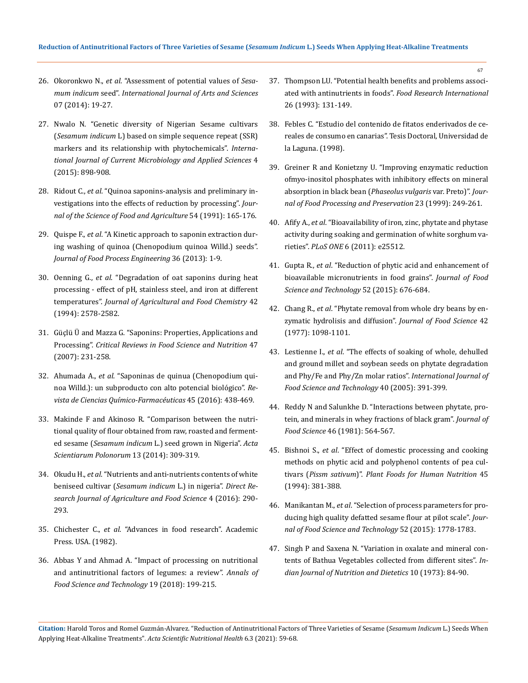- 26. Okoronkwo N., *et al*[. "Assessment of potential values of](https://www.researchgate.net/publication/301503854_Assessment_of_Potential_Values_of_Sesamum_indicum_Seed) *Sesamum indicum* seed". *[International Journal of Arts and Sciences](https://www.researchgate.net/publication/301503854_Assessment_of_Potential_Values_of_Sesamum_indicum_Seed)* [07 \(2014\): 19-27.](https://www.researchgate.net/publication/301503854_Assessment_of_Potential_Values_of_Sesamum_indicum_Seed)
- 27. [Nwalo N. "Genetic diversity of Nigerian Sesame cultivars](https://www.researchgate.net/publication/281099741_Genetic_diversity_of_Nigerian_Sesame_cultivars_Sesamum_indicum_L_based_on_simple_sequence_repeat_SSR_markers_and_its_relationship_with_phytochemicals_International_Journal_of_Current_Microbiology_and_/)  (*Sesamum indicum* [L\) based on simple sequence repeat \(SSR\)](https://www.researchgate.net/publication/281099741_Genetic_diversity_of_Nigerian_Sesame_cultivars_Sesamum_indicum_L_based_on_simple_sequence_repeat_SSR_markers_and_its_relationship_with_phytochemicals_International_Journal_of_Current_Microbiology_and_/)  [markers and its relationship with phytochemicals".](https://www.researchgate.net/publication/281099741_Genetic_diversity_of_Nigerian_Sesame_cultivars_Sesamum_indicum_L_based_on_simple_sequence_repeat_SSR_markers_and_its_relationship_with_phytochemicals_International_Journal_of_Current_Microbiology_and_/) *Interna[tional Journal of Current Microbiology and Applied Sciences](https://www.researchgate.net/publication/281099741_Genetic_diversity_of_Nigerian_Sesame_cultivars_Sesamum_indicum_L_based_on_simple_sequence_repeat_SSR_markers_and_its_relationship_with_phytochemicals_International_Journal_of_Current_Microbiology_and_/)* 4 [\(2015\): 898-908.](https://www.researchgate.net/publication/281099741_Genetic_diversity_of_Nigerian_Sesame_cultivars_Sesamum_indicum_L_based_on_simple_sequence_repeat_SSR_markers_and_its_relationship_with_phytochemicals_International_Journal_of_Current_Microbiology_and_/)
- 28. Ridout C., *et al*[. "Quinoa saponins-analysis and preliminary in](https://onlinelibrary.wiley.com/doi/abs/10.1002/jsfa.2740540202)[vestigations into the effects of reduction by processing".](https://onlinelibrary.wiley.com/doi/abs/10.1002/jsfa.2740540202) *Jour[nal of the Science of Food and Agriculture](https://onlinelibrary.wiley.com/doi/abs/10.1002/jsfa.2740540202)* 54 (1991): 165-176.
- 29. Quispe F., *et al*[. "A Kinetic approach to saponin extraction dur](https://onlinelibrary.wiley.com/doi/abs/10.1111/j.1745-4530.2012.00673.x)[ing washing of quinoa \(Chenopodium quinoa Willd.\) seeds".](https://onlinelibrary.wiley.com/doi/abs/10.1111/j.1745-4530.2012.00673.x)  *[Journal of Food Process Engineering](https://onlinelibrary.wiley.com/doi/abs/10.1111/j.1745-4530.2012.00673.x)* 36 (2013): 1-9.
- 30. Oenning G., *et al*[. "Degradation of oat saponins during heat](https://www.researchgate.net/publication/231545106_Degradation_of_Oat_Saponins_during_Heat_Processing_-_Effect_of_pH_Stainless_Steel_and_Iron_at_Different_Temperatures)  [processing - effect of pH, stainless steel, and iron at different](https://www.researchgate.net/publication/231545106_Degradation_of_Oat_Saponins_during_Heat_Processing_-_Effect_of_pH_Stainless_Steel_and_Iron_at_Different_Temperatures)  temperatures". *[Journal of Agricultural and Food Chemistry](https://www.researchgate.net/publication/231545106_Degradation_of_Oat_Saponins_during_Heat_Processing_-_Effect_of_pH_Stainless_Steel_and_Iron_at_Different_Temperatures)* 42 [\(1994\): 2578-2582.](https://www.researchgate.net/publication/231545106_Degradation_of_Oat_Saponins_during_Heat_Processing_-_Effect_of_pH_Stainless_Steel_and_Iron_at_Different_Temperatures)
- 31. [Güçlü Ü and Mazza G. "Saponins: Properties, Applications and](https://pubmed.ncbi.nlm.nih.gov/17453922/)  Processing". *[Critical Reviews in Food Science and Nutrition](https://pubmed.ncbi.nlm.nih.gov/17453922/)* 47 [\(2007\): 231-258.](https://pubmed.ncbi.nlm.nih.gov/17453922/)
- 32. Ahumada A., *et al*[. "Saponinas de quinua \(Chenopodium qui](http://www.scielo.org.co/scielo.php?pid=S0034-74182016000300006&script=sci_abstract&tlng=es)[noa Willd.\): un subproducto con alto potencial biológico".](http://www.scielo.org.co/scielo.php?pid=S0034-74182016000300006&script=sci_abstract&tlng=es) *Re[vista de Ciencias Químico-Farmacéuticas](http://www.scielo.org.co/scielo.php?pid=S0034-74182016000300006&script=sci_abstract&tlng=es)* 45 (2016): 438-469.
- 33. [Makinde F and Akinoso R. "Comparison between the nutri](https://pubmed.ncbi.nlm.nih.gov/24887946/)[tional quality of flour obtained from raw, roasted and ferment](https://pubmed.ncbi.nlm.nih.gov/24887946/)ed sesame (*Sesamum indicum* [L.\) seed grown in Nigeria".](https://pubmed.ncbi.nlm.nih.gov/24887946/) *Acta [Scientiarum Polonorum](https://pubmed.ncbi.nlm.nih.gov/24887946/)* 13 (2014): 309-319.
- 34. Okudu H., *et al*. "Nutrients and anti-nutrients contents of white beniseed cultivar (*Sesamum indicum* L.) in nigeria". *Direct Research Journal of Agriculture and Food Science* 4 (2016): 290- 293.
- 35. Chichester C., *et al*[. "Advances in food research". Academic](https://www.sciencedirect.com/bookseries/advances-in-food-research)  [Press. USA. \(1982\).](https://www.sciencedirect.com/bookseries/advances-in-food-research)
- 36. [Abbas Y and Ahmad A. "Impact of processing on nutritional](http://www.afst.valahia.ro/images/documente/2018/issue2/I.4_Abbas.pdf)  [and antinutritional factors of legumes: a review".](http://www.afst.valahia.ro/images/documente/2018/issue2/I.4_Abbas.pdf) *Annals of [Food Science and Technology](http://www.afst.valahia.ro/images/documente/2018/issue2/I.4_Abbas.pdf)* 19 (2018): 199-215.

37. [Thompson LU. "Potential health benefits and problems associ](https://www.sciencedirect.com/science/article/abs/pii/096399699390069U)ated with antinutrients in foods". *[Food Research International](https://www.sciencedirect.com/science/article/abs/pii/096399699390069U)* [26 \(1993\): 131-149.](https://www.sciencedirect.com/science/article/abs/pii/096399699390069U)

- 38. [Febles C. "Estudio del contenido de fitatos enderivados de ce](https://riull.ull.es/xmlui/handle/915/21232)[reales de consumo en canarias". Tesis Doctoral, Universidad de](https://riull.ull.es/xmlui/handle/915/21232)  [la Laguna. \(1998\).](https://riull.ull.es/xmlui/handle/915/21232)
- 39. [Greiner R and Konietzny U. "Improving enzymatic reduction](https://agris.fao.org/agris-search/search.do?recordID=DE2000L90017)  [ofmyo-inositol phosphates with inhibitory effects on mineral](https://agris.fao.org/agris-search/search.do?recordID=DE2000L90017)  [absorption in black bean \(](https://agris.fao.org/agris-search/search.do?recordID=DE2000L90017)*Phaseolus vulgaris* var. Preto)". *Jour[nal of Food Processing and Preservation](https://agris.fao.org/agris-search/search.do?recordID=DE2000L90017)* 23 (1999): 249-261.
- 40. Afify A., *et al*[. "Bioavailability of iron, zinc, phytate and phytase](https://pubmed.ncbi.nlm.nih.gov/22003395/)  [activity during soaking and germination of white sorghum va](https://pubmed.ncbi.nlm.nih.gov/22003395/)rieties". *PLoS ONE* [6 \(2011\): e25512.](https://pubmed.ncbi.nlm.nih.gov/22003395/)
- 41. Gupta R., *et al*[. "Reduction of phytic acid and enhancement of](https://pubmed.ncbi.nlm.nih.gov/25694676/)  [bioavailable micronutrients in food grains".](https://pubmed.ncbi.nlm.nih.gov/25694676/) *Journal of Food [Science and Technology](https://pubmed.ncbi.nlm.nih.gov/25694676/)* 52 (2015): 676-684.
- 42. Chang R., *et al*[. "Phytate removal from whole dry beans by en](https://www.researchgate.net/publication/229747779_Phytate_Removal_from_whole_dry_beans_by_enzymatic_hydrolysis_and_diffusion)[zymatic hydrolisis and diffusion".](https://www.researchgate.net/publication/229747779_Phytate_Removal_from_whole_dry_beans_by_enzymatic_hydrolysis_and_diffusion) *Journal of Food Science* 42 [\(1977\): 1098-1101.](https://www.researchgate.net/publication/229747779_Phytate_Removal_from_whole_dry_beans_by_enzymatic_hydrolysis_and_diffusion)
- 43. Lestienne I., *et al*[. "The effects of soaking of whole, dehulled](https://www.researchgate.net/publication/227745585_The_effects_of_soaking_of_whole_dehulled_and_ground_millet_and_soybean_seeds_on_phytate_degradation_and_PhyFe_and_PhyZn_molar_ratios)  [and ground millet and soybean seeds on phytate degradation](https://www.researchgate.net/publication/227745585_The_effects_of_soaking_of_whole_dehulled_and_ground_millet_and_soybean_seeds_on_phytate_degradation_and_PhyFe_and_PhyZn_molar_ratios)  [and Phy/Fe and Phy/Zn molar ratios".](https://www.researchgate.net/publication/227745585_The_effects_of_soaking_of_whole_dehulled_and_ground_millet_and_soybean_seeds_on_phytate_degradation_and_PhyFe_and_PhyZn_molar_ratios) *International Journal of [Food Science and Technology](https://www.researchgate.net/publication/227745585_The_effects_of_soaking_of_whole_dehulled_and_ground_millet_and_soybean_seeds_on_phytate_degradation_and_PhyFe_and_PhyZn_molar_ratios)* 40 (2005): 391-399.
- 44. [Reddy N and Salunkhe D. "Interactions between phytate, pro](https://ift.onlinelibrary.wiley.com/doi/abs/10.1111/j.1365-2621.1981.tb04911.x)[tein, and minerals in whey fractions of black gram".](https://ift.onlinelibrary.wiley.com/doi/abs/10.1111/j.1365-2621.1981.tb04911.x) *Journal of Food Science* [46 \(1981\): 564-567.](https://ift.onlinelibrary.wiley.com/doi/abs/10.1111/j.1365-2621.1981.tb04911.x)
- 45. Bishnoi S., *et al*[. "Effect of domestic processing and cooking](https://pubmed.ncbi.nlm.nih.gov/7971780/)  [methods on phytic acid and polyphenol contents of pea cul](https://pubmed.ncbi.nlm.nih.gov/7971780/)tivars (*Pissm sativum*)". *[Plant Foods for Human Nutrition](https://pubmed.ncbi.nlm.nih.gov/7971780/)* 45 [\(1994\): 381-388.](https://pubmed.ncbi.nlm.nih.gov/7971780/)
- 46. Manikantan M., *et al*[. "Selection of process parameters for pro](https://www.researchgate.net/publication/256583504_Selection_of_process_parameters_for_producing_high_quality_defatted_sesame_flour_at_pilot_scale)[ducing high quality defatted sesame flour at pilot scale".](https://www.researchgate.net/publication/256583504_Selection_of_process_parameters_for_producing_high_quality_defatted_sesame_flour_at_pilot_scale) *Jour[nal of Food Science and Technology](https://www.researchgate.net/publication/256583504_Selection_of_process_parameters_for_producing_high_quality_defatted_sesame_flour_at_pilot_scale)* 52 (2015): 1778-1783.
- 47. [Singh P and Saxena N. "Variation in oxalate and mineral con](https://eurekamag.com/research/027/836/027836563.php)[tents of Bathua Vegetables collected from different sites".](https://eurekamag.com/research/027/836/027836563.php) *In[dian Journal of Nutrition and Dietetics](https://eurekamag.com/research/027/836/027836563.php)* 10 (1973): 84-90.

**Citation:** Harold Toros and Romel Guzmán-Alvarez*.* "Reduction of Antinutritional Factors of Three Varieties of Sesame (*Sesamum Indicum* L.) Seeds When Applying Heat-Alkaline Treatments". *Acta Scientific Nutritional Health* 6.3 (2021): 59-68.